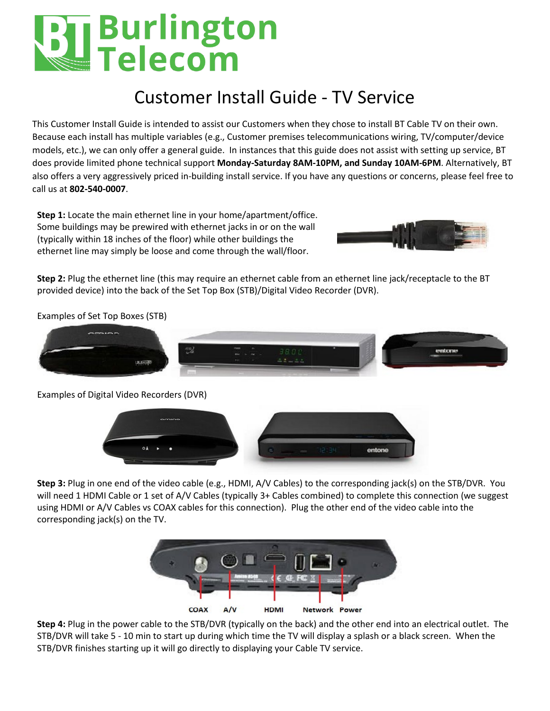# U Burlington<br>■ Telecom

## Customer Install Guide - TV Service

This Customer Install Guide is intended to assist our Customers when they chose to install BT Cable TV on their own. Because each install has multiple variables (e.g., Customer premises telecommunications wiring, TV/computer/device models, etc.), we can only offer a general guide. In instances that this guide does not assist with setting up service, BT does provide limited phone technical support **Monday-Saturday 8AM-10PM, and Sunday 10AM-6PM**. Alternatively, BT also offers a very aggressively priced in-building install service. If you have any questions or concerns, please feel free to call us at **802-540-0007**.

**Step 1:** Locate the main ethernet line in your home/apartment/office. Some buildings may be prewired with ethernet jacks in or on the wall (typically within 18 inches of the floor) while other buildings the ethernet line may simply be loose and come through the wall/floor.



**Step 2:** Plug the ethernet line (this may require an ethernet cable from an ethernet line jack/receptacle to the BT provided device) into the back of the Set Top Box (STB)/Digital Video Recorder (DVR).

Examples of Set Top Boxes (STB)



Examples of Digital Video Recorders (DVR)



**Step 3:** Plug in one end of the video cable (e.g., HDMI, A/V Cables) to the corresponding jack(s) on the STB/DVR. You will need 1 HDMI Cable or 1 set of A/V Cables (typically 3+ Cables combined) to complete this connection (we suggest using HDMI or A/V Cables vs COAX cables for this connection). Plug the other end of the video cable into the corresponding jack(s) on the TV.



**Step 4:** Plug in the power cable to the STB/DVR (typically on the back) and the other end into an electrical outlet. The STB/DVR will take 5 - 10 min to start up during which time the TV will display a splash or a black screen. When the STB/DVR finishes starting up it will go directly to displaying your Cable TV service.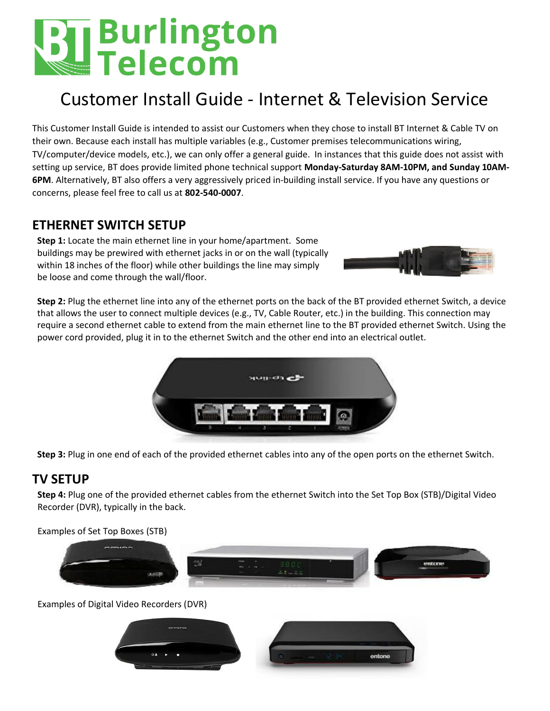# **The Burlington**<br>Externe:

## Customer Install Guide - Internet & Television Service

This Customer Install Guide is intended to assist our Customers when they chose to install BT Internet & Cable TV on their own. Because each install has multiple variables (e.g., Customer premises telecommunications wiring, TV/computer/device models, etc.), we can only offer a general guide. In instances that this guide does not assist with setting up service, BT does provide limited phone technical support **Monday-Saturday 8AM-10PM, and Sunday 10AM-6PM**. Alternatively, BT also offers a very aggressively priced in-building install service. If you have any questions or concerns, please feel free to call us at **802-540-0007**.

### **ETHERNET SWITCH SETUP**

**Step 1:** Locate the main ethernet line in your home/apartment. Some buildings may be prewired with ethernet jacks in or on the wall (typically within 18 inches of the floor) while other buildings the line may simply be loose and come through the wall/floor.

**Step 2:** Plug the ethernet line into any of the ethernet ports on the back of the BT provided ethernet Switch, a device that allows the user to connect multiple devices (e.g., TV, Cable Router, etc.) in the building. This connection may require a second ethernet cable to extend from the main ethernet line to the BT provided ethernet Switch. Using the power cord provided, plug it in to the ethernet Switch and the other end into an electrical outlet.



**Step 3:** Plug in one end of each of the provided ethernet cables into any of the open ports on the ethernet Switch.

### **TV SETUP**

**Step 4:** Plug one of the provided ethernet cables from the ethernet Switch into the Set Top Box (STB)/Digital Video Recorder (DVR), typically in the back.

Examples of Set Top Boxes (STB)



Examples of Digital Video Recorders (DVR)